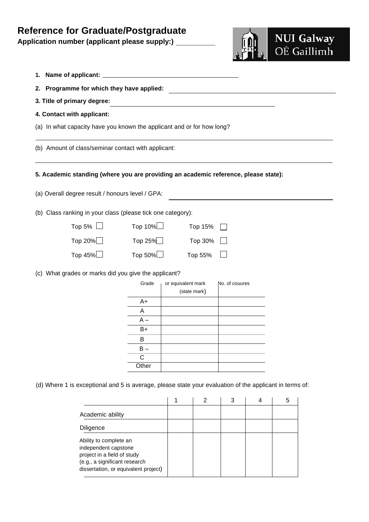## **Reference for Graduate/Postgraduate**

Application number (applicant please supply:) \_



- **1. Name of applicant:**
- **2. Programme for which they have applied:**
- **3. Title of primary degree:**
- **4. Contact with applicant:**
- (a) In what capacity have you known the applicant and or for how long?

(b) Amount of class/seminar contact with applicant:

**5. Academic standing (where you are providing an academic reference, please state):**

(a) Overall degree result / honours level / GPA:

(b) Class ranking in your class (please tick one category):

| Top 5% $\Box$  | Top $10\%$     | Top 15% $\Box$ |  |
|----------------|----------------|----------------|--|
| Top 20% $\Box$ | Top 25% $\Box$ | $Top 30\%$     |  |
| Top 45% $\Box$ | Top 50% $\Box$ | Top 55% $\Box$ |  |

(c) What grades or marks did you give the applicant?

| Grade | or equivalent mark<br>(state mark) | No. of couures |
|-------|------------------------------------|----------------|
| A+    |                                    |                |
| Α     |                                    |                |
| $A -$ |                                    |                |
| B+    |                                    |                |
| в     |                                    |                |
| B –   |                                    |                |
| C     |                                    |                |
| Other |                                    |                |

(d) Where 1 is exceptional and 5 is average, please state your evaluation of the applicant in terms of:

|                                                                                                                                                        |  | 3 | 5 |
|--------------------------------------------------------------------------------------------------------------------------------------------------------|--|---|---|
| Academic ability                                                                                                                                       |  |   |   |
| Diligence                                                                                                                                              |  |   |   |
| Ability to complete an<br>independent capstone<br>project in a field of study<br>(e.g., a significant research<br>dissertation, or equivalent project) |  |   |   |